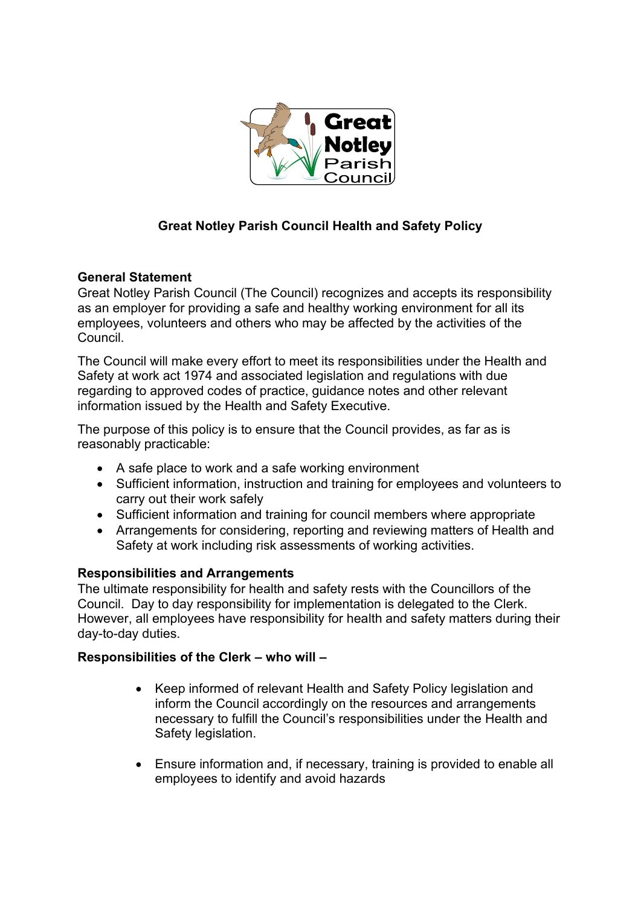

# **Great Notley Parish Council Health and Safety Policy**

## **General Statement**

Great Notley Parish Council (The Council) recognizes and accepts its responsibility as an employer for providing a safe and healthy working environment for all its employees, volunteers and others who may be affected by the activities of the Council.

The Council will make every effort to meet its responsibilities under the Health and Safety at work act 1974 and associated legislation and regulations with due regarding to approved codes of practice, guidance notes and other relevant information issued by the Health and Safety Executive.

The purpose of this policy is to ensure that the Council provides, as far as is reasonably practicable:

- A safe place to work and a safe working environment
- Sufficient information, instruction and training for employees and volunteers to carry out their work safely
- Sufficient information and training for council members where appropriate
- Arrangements for considering, reporting and reviewing matters of Health and Safety at work including risk assessments of working activities.

## **Responsibilities and Arrangements**

The ultimate responsibility for health and safety rests with the Councillors of the Council. Day to day responsibility for implementation is delegated to the Clerk. However, all employees have responsibility for health and safety matters during their day-to-day duties.

### **Responsibilities of the Clerk – who will –**

- Keep informed of relevant Health and Safety Policy legislation and inform the Council accordingly on the resources and arrangements necessary to fulfill the Council's responsibilities under the Health and Safety legislation.
- Ensure information and, if necessary, training is provided to enable all employees to identify and avoid hazards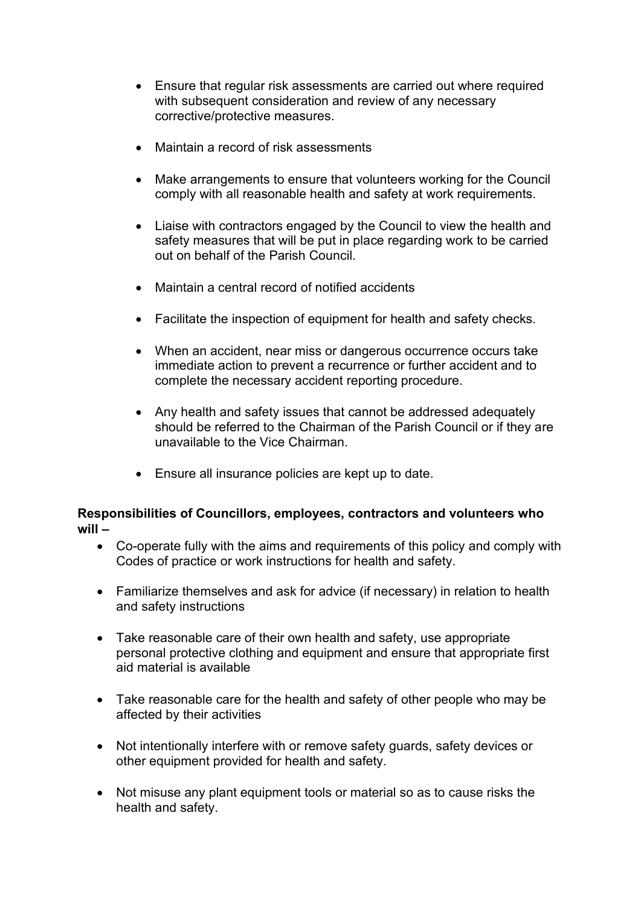- Ensure that regular risk assessments are carried out where required with subsequent consideration and review of any necessary corrective/protective measures.
- Maintain a record of risk assessments
- Make arrangements to ensure that volunteers working for the Council comply with all reasonable health and safety at work requirements.
- Liaise with contractors engaged by the Council to view the health and safety measures that will be put in place regarding work to be carried out on behalf of the Parish Council.
- Maintain a central record of notified accidents
- Facilitate the inspection of equipment for health and safety checks.
- When an accident, near miss or dangerous occurrence occurs take immediate action to prevent a recurrence or further accident and to complete the necessary accident reporting procedure.
- Any health and safety issues that cannot be addressed adequately should be referred to the Chairman of the Parish Council or if they are unavailable to the Vice Chairman.
- Ensure all insurance policies are kept up to date.

### **Responsibilities of Councillors, employees, contractors and volunteers who will –**

- Co-operate fully with the aims and requirements of this policy and comply with Codes of practice or work instructions for health and safety.
- Familiarize themselves and ask for advice (if necessary) in relation to health and safety instructions
- Take reasonable care of their own health and safety, use appropriate personal protective clothing and equipment and ensure that appropriate first aid material is available
- Take reasonable care for the health and safety of other people who may be affected by their activities
- Not intentionally interfere with or remove safety guards, safety devices or other equipment provided for health and safety.
- Not misuse any plant equipment tools or material so as to cause risks the health and safety.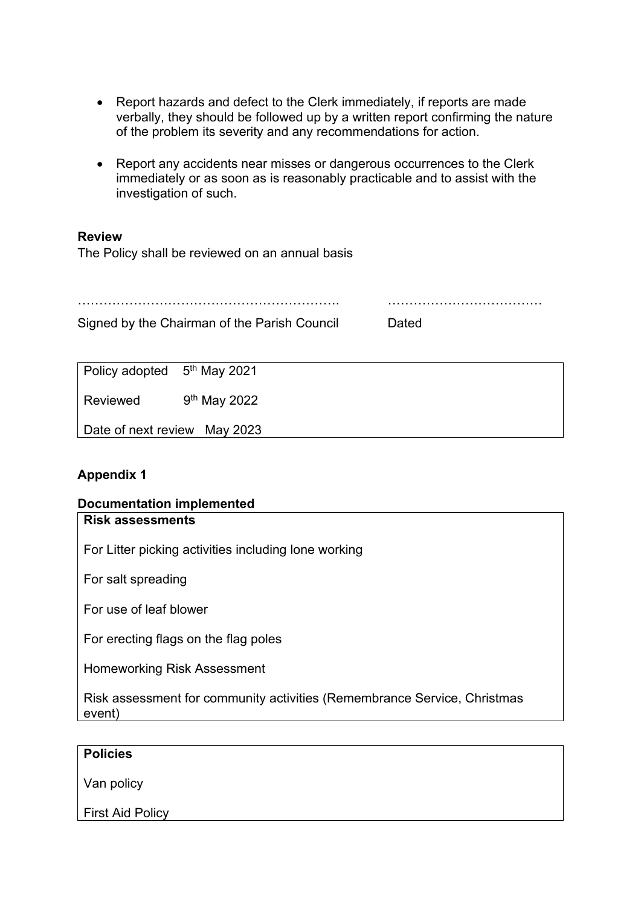- Report hazards and defect to the Clerk immediately, if reports are made verbally, they should be followed up by a written report confirming the nature of the problem its severity and any recommendations for action.
- Report any accidents near misses or dangerous occurrences to the Clerk immediately or as soon as is reasonably practicable and to assist with the investigation of such.

……………………………………………………. ………………………………

#### **Review**

The Policy shall be reviewed on an annual basis

Signed by the Chairman of the Parish Council Dated

Policy adopted 5<sup>th</sup> May 2021

Reviewed 9<sup>th</sup> May 2022

Date of next review May 2023

### **Appendix 1**

### **Documentation implemented**

#### **Risk assessments**

For Litter picking activities including lone working

For salt spreading

For use of leaf blower

For erecting flags on the flag poles

Homeworking Risk Assessment

Risk assessment for community activities (Remembrance Service, Christmas event)

#### **Policies**

Van policy

First Aid Policy